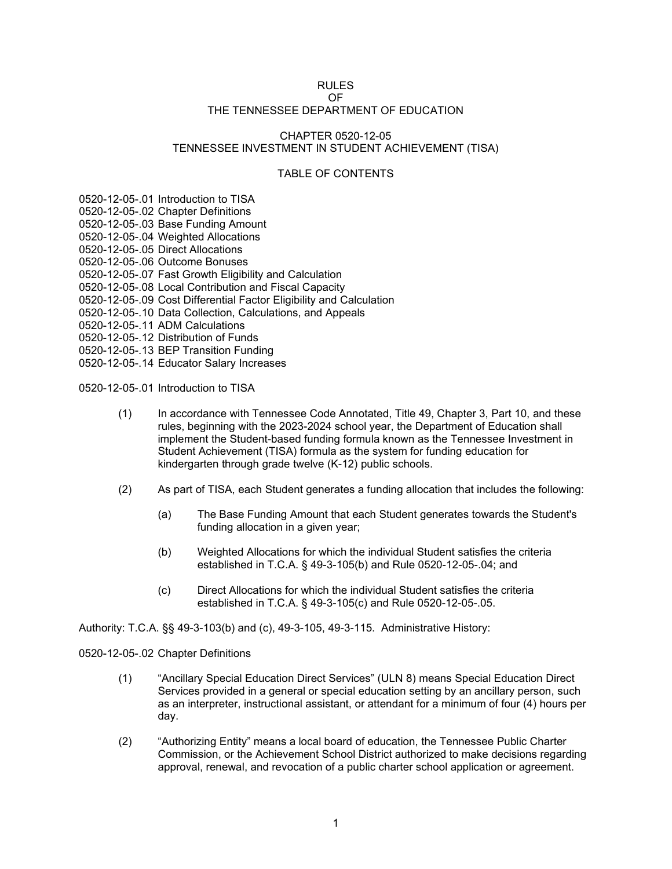#### RULES

#### OF THE TENNESSEE DEPARTMENT OF EDUCATION

## CHAPTER 0520-12-05 TENNESSEE INVESTMENT IN STUDENT ACHIEVEMENT (TISA)

## TABLE OF CONTENTS

0520-12-05-.01 Introduction to TISA

- 0520-12-05-.02 Chapter Definitions
- 0520-12-05-.03 Base Funding Amount
- 0520-12-05-.04 Weighted Allocations
- 0520-12-05-.05 Direct Allocations
- 0520-12-05-.06 Outcome Bonuses
- 0520-12-05-.07 Fast Growth Eligibility and Calculation
- 0520-12-05-.08 Local Contribution and Fiscal Capacity
- 0520-12-05-.09 Cost Differential Factor Eligibility and Calculation
- 0520-12-05-.10 Data Collection, Calculations, and Appeals
- 0520-12-05-.11 ADM Calculations
- 0520-12-05-.12 Distribution of Funds
- 0520-12-05-.13 BEP Transition Funding
- 0520-12-05-.14 Educator Salary Increases

0520-12-05-.01 Introduction to TISA

- (1) In accordance with Tennessee Code Annotated, Title 49, Chapter 3, Part 10, and these rules, beginning with the 2023-2024 school year, the Department of Education shall implement the Student-based funding formula known as the Tennessee Investment in Student Achievement (TISA) formula as the system for funding education for kindergarten through grade twelve (K-12) public schools.
- (2) As part of TISA, each Student generates a funding allocation that includes the following:
	- (a) The Base Funding Amount that each Student generates towards the Student's funding allocation in a given year;
	- (b) Weighted Allocations for which the individual Student satisfies the criteria established in T.C.A. § 49-3-105(b) and Rule 0520-12-05-.04; and
	- (c) Direct Allocations for which the individual Student satisfies the criteria established in T.C.A. § 49-3-105(c) and Rule 0520-12-05-.05.

Authority: T.C.A. §§ 49-3-103(b) and (c), 49-3-105, 49-3-115. Administrative History:

0520-12-05-.02 Chapter Definitions

- (1) "Ancillary Special Education Direct Services" (ULN 8) means Special Education Direct Services provided in a general or special education setting by an ancillary person, such as an interpreter, instructional assistant, or attendant for a minimum of four (4) hours per day.
- (2) "Authorizing Entity" means a local board of education, the Tennessee Public Charter Commission, or the Achievement School District authorized to make decisions regarding approval, renewal, and revocation of a public charter school application or agreement.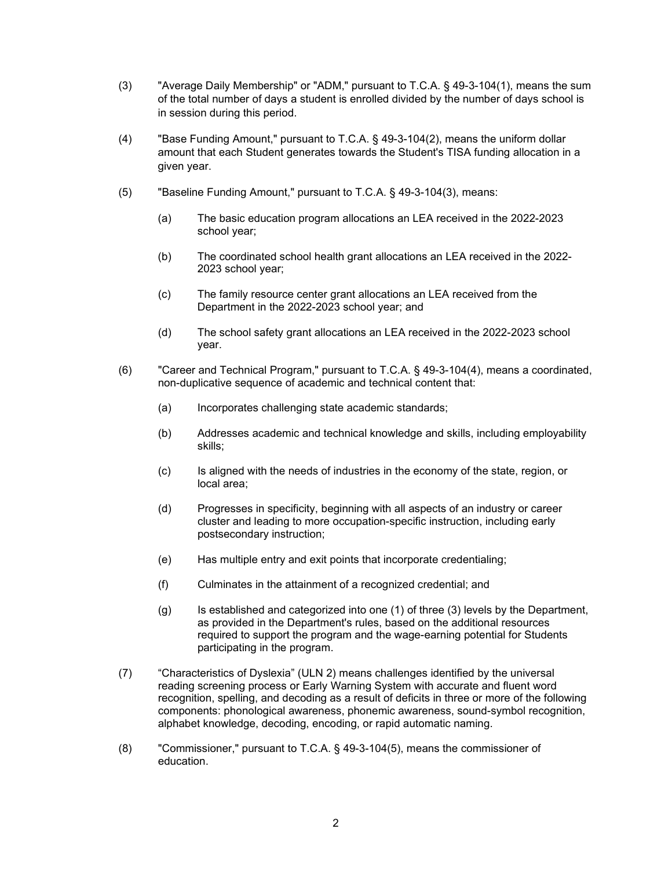- (3) "Average Daily Membership" or "ADM," pursuant to T.C.A. § 49-3-104(1), means the sum of the total number of days a student is enrolled divided by the number of days school is in session during this period.
- (4) "Base Funding Amount," pursuant to T.C.A. § 49-3-104(2), means the uniform dollar amount that each Student generates towards the Student's TISA funding allocation in a given year.
- (5) "Baseline Funding Amount," pursuant to T.C.A. § 49-3-104(3), means:
	- (a) The basic education program allocations an LEA received in the 2022-2023 school year;
	- (b) The coordinated school health grant allocations an LEA received in the 2022- 2023 school year;
	- (c) The family resource center grant allocations an LEA received from the Department in the 2022-2023 school year; and
	- (d) The school safety grant allocations an LEA received in the 2022-2023 school year.
- (6) "Career and Technical Program," pursuant to T.C.A. § 49-3-104(4), means a coordinated, non-duplicative sequence of academic and technical content that:
	- (a) Incorporates challenging state academic standards;
	- (b) Addresses academic and technical knowledge and skills, including employability skills;
	- (c) Is aligned with the needs of industries in the economy of the state, region, or local area;
	- (d) Progresses in specificity, beginning with all aspects of an industry or career cluster and leading to more occupation-specific instruction, including early postsecondary instruction;
	- (e) Has multiple entry and exit points that incorporate credentialing;
	- (f) Culminates in the attainment of a recognized credential; and
	- (g) Is established and categorized into one (1) of three (3) levels by the Department, as provided in the Department's rules, based on the additional resources required to support the program and the wage-earning potential for Students participating in the program.
- (7) "Characteristics of Dyslexia" (ULN 2) means challenges identified by the universal reading screening process or Early Warning System with accurate and fluent word recognition, spelling, and decoding as a result of deficits in three or more of the following components: phonological awareness, phonemic awareness, sound-symbol recognition, alphabet knowledge, decoding, encoding, or rapid automatic naming.
- (8) "Commissioner," pursuant to T.C.A. § 49-3-104(5), means the commissioner of education.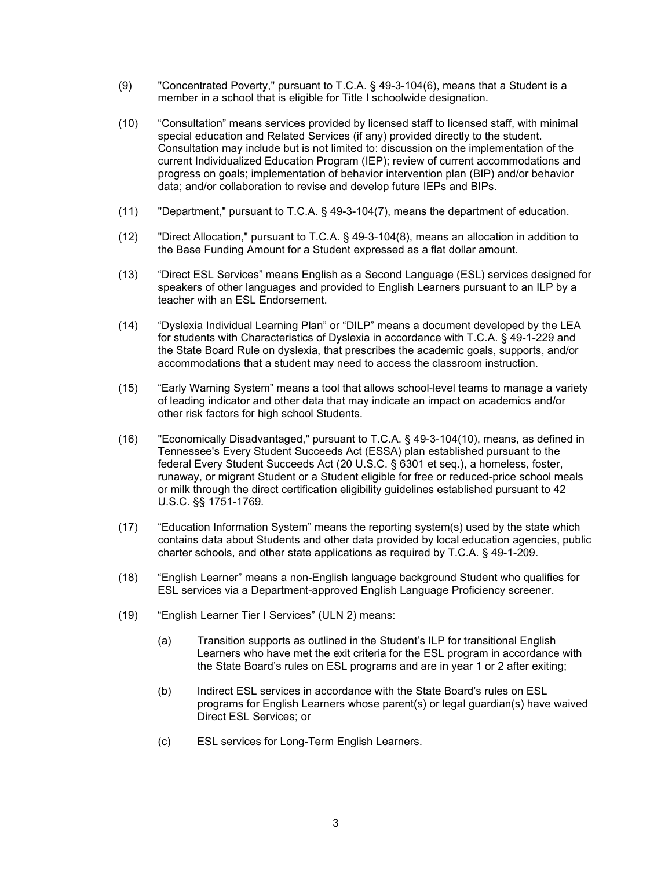- (9) "Concentrated Poverty," pursuant to T.C.A. § 49-3-104(6), means that a Student is a member in a school that is eligible for Title I schoolwide designation.
- (10) "Consultation" means services provided by licensed staff to licensed staff, with minimal special education and Related Services (if any) provided directly to the student. Consultation may include but is not limited to: discussion on the implementation of the current Individualized Education Program (IEP); review of current accommodations and progress on goals; implementation of behavior intervention plan (BIP) and/or behavior data; and/or collaboration to revise and develop future IEPs and BIPs.
- (11) "Department," pursuant to T.C.A. § 49-3-104(7), means the department of education.
- (12) "Direct Allocation," pursuant to T.C.A. § 49-3-104(8), means an allocation in addition to the Base Funding Amount for a Student expressed as a flat dollar amount.
- (13) "Direct ESL Services" means English as a Second Language (ESL) services designed for speakers of other languages and provided to English Learners pursuant to an ILP by a teacher with an ESL Endorsement.
- (14) "Dyslexia Individual Learning Plan" or "DILP" means a document developed by the LEA for students with Characteristics of Dyslexia in accordance with T.C.A. § 49-1-229 and the State Board Rule on dyslexia, that prescribes the academic goals, supports, and/or accommodations that a student may need to access the classroom instruction.
- (15) "Early Warning System" means a tool that allows school-level teams to manage a variety of leading indicator and other data that may indicate an impact on academics and/or other risk factors for high school Students.
- (16) "Economically Disadvantaged," pursuant to T.C.A. § 49-3-104(10), means, as defined in Tennessee's Every Student Succeeds Act (ESSA) plan established pursuant to the federal Every Student Succeeds Act (20 U.S.C. § 6301 et seq.), a homeless, foster, runaway, or migrant Student or a Student eligible for free or reduced-price school meals or milk through the direct certification eligibility guidelines established pursuant to 42 U.S.C. §§ 1751-1769.
- (17) "Education Information System" means the reporting system(s) used by the state which contains data about Students and other data provided by local education agencies, public charter schools, and other state applications as required by T.C.A. § 49-1-209.
- (18) "English Learner" means a non-English language background Student who qualifies for ESL services via a Department-approved English Language Proficiency screener.
- (19) "English Learner Tier I Services" (ULN 2) means:
	- (a) Transition supports as outlined in the Student's ILP for transitional English Learners who have met the exit criteria for the ESL program in accordance with the State Board's rules on ESL programs and are in year 1 or 2 after exiting;
	- (b) Indirect ESL services in accordance with the State Board's rules on ESL programs for English Learners whose parent(s) or legal guardian(s) have waived Direct ESL Services; or
	- (c) ESL services for Long-Term English Learners.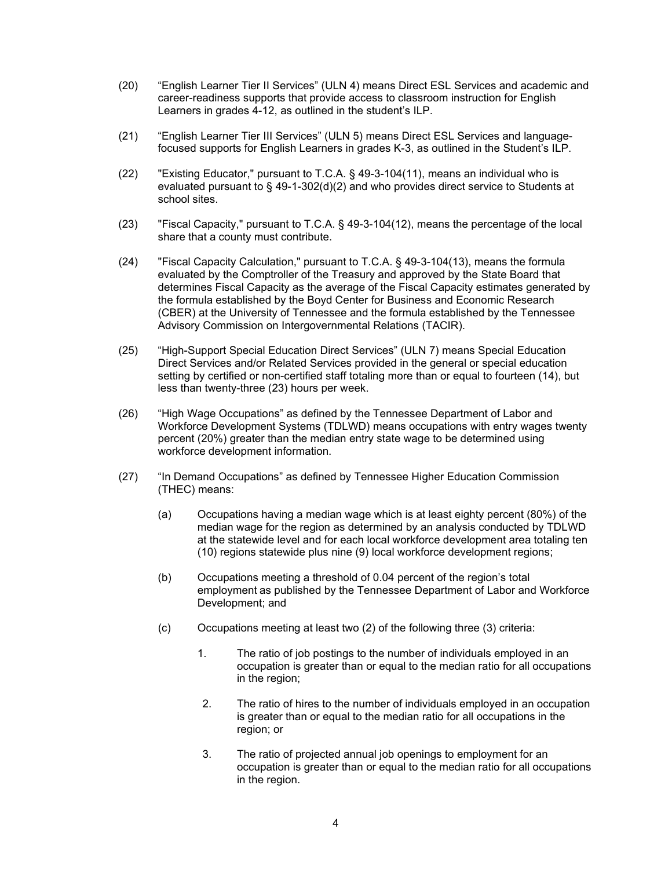- (20) "English Learner Tier II Services" (ULN 4) means Direct ESL Services and academic and career-readiness supports that provide access to classroom instruction for English Learners in grades 4-12, as outlined in the student's ILP.
- (21) "English Learner Tier III Services" (ULN 5) means Direct ESL Services and languagefocused supports for English Learners in grades K-3, as outlined in the Student's ILP.
- (22) "Existing Educator," pursuant to T.C.A. § 49-3-104(11), means an individual who is evaluated pursuant to § 49-1-302(d)(2) and who provides direct service to Students at school sites.
- (23) "Fiscal Capacity," pursuant to T.C.A. § 49-3-104(12), means the percentage of the local share that a county must contribute.
- (24) "Fiscal Capacity Calculation," pursuant to T.C.A. § 49-3-104(13), means the formula evaluated by the Comptroller of the Treasury and approved by the State Board that determines Fiscal Capacity as the average of the Fiscal Capacity estimates generated by the formula established by the Boyd Center for Business and Economic Research (CBER) at the University of Tennessee and the formula established by the Tennessee Advisory Commission on Intergovernmental Relations (TACIR).
- (25) "High-Support Special Education Direct Services" (ULN 7) means Special Education Direct Services and/or Related Services provided in the general or special education setting by certified or non-certified staff totaling more than or equal to fourteen (14), but less than twenty-three (23) hours per week.
- (26) "High Wage Occupations" as defined by the Tennessee Department of Labor and Workforce Development Systems (TDLWD) means occupations with entry wages twenty percent (20%) greater than the median entry state wage to be determined using workforce development information.
- (27) "In Demand Occupations" as defined by Tennessee Higher Education Commission (THEC) means:
	- (a) Occupations having a median wage which is at least eighty percent (80%) of the median wage for the region as determined by an analysis conducted by TDLWD at the statewide level and for each local workforce development area totaling ten (10) regions statewide plus nine (9) local workforce development regions;
	- (b) Occupations meeting a threshold of 0.04 percent of the region's total employment as published by the Tennessee Department of Labor and Workforce Development; and
	- (c) Occupations meeting at least two (2) of the following three (3) criteria:
		- 1. The ratio of job postings to the number of individuals employed in an occupation is greater than or equal to the median ratio for all occupations in the region;
		- 2. The ratio of hires to the number of individuals employed in an occupation is greater than or equal to the median ratio for all occupations in the region; or
		- 3. The ratio of projected annual job openings to employment for an occupation is greater than or equal to the median ratio for all occupations in the region.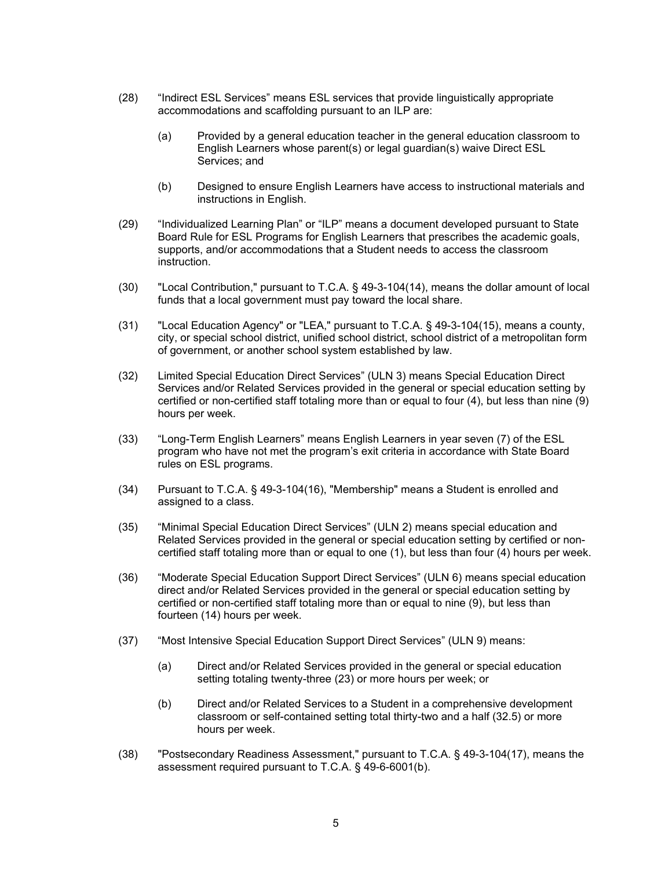- (28) "Indirect ESL Services" means ESL services that provide linguistically appropriate accommodations and scaffolding pursuant to an ILP are:
	- (a) Provided by a general education teacher in the general education classroom to English Learners whose parent(s) or legal guardian(s) waive Direct ESL Services; and
	- (b) Designed to ensure English Learners have access to instructional materials and instructions in English.
- (29) "Individualized Learning Plan" or "ILP" means a document developed pursuant to State Board Rule for ESL Programs for English Learners that prescribes the academic goals, supports, and/or accommodations that a Student needs to access the classroom instruction.
- (30) "Local Contribution," pursuant to T.C.A. § 49-3-104(14), means the dollar amount of local funds that a local government must pay toward the local share.
- (31) "Local Education Agency" or "LEA," pursuant to T.C.A. § 49-3-104(15), means a county, city, or special school district, unified school district, school district of a metropolitan form of government, or another school system established by law.
- (32) Limited Special Education Direct Services" (ULN 3) means Special Education Direct Services and/or Related Services provided in the general or special education setting by certified or non-certified staff totaling more than or equal to four (4), but less than nine (9) hours per week.
- (33) "Long-Term English Learners" means English Learners in year seven (7) of the ESL program who have not met the program's exit criteria in accordance with State Board rules on ESL programs.
- (34) Pursuant to T.C.A. § 49-3-104(16), "Membership" means a Student is enrolled and assigned to a class.
- (35) "Minimal Special Education Direct Services" (ULN 2) means special education and Related Services provided in the general or special education setting by certified or noncertified staff totaling more than or equal to one (1), but less than four (4) hours per week.
- (36) "Moderate Special Education Support Direct Services" (ULN 6) means special education direct and/or Related Services provided in the general or special education setting by certified or non-certified staff totaling more than or equal to nine (9), but less than fourteen (14) hours per week.
- (37) "Most Intensive Special Education Support Direct Services" (ULN 9) means:
	- (a) Direct and/or Related Services provided in the general or special education setting totaling twenty-three (23) or more hours per week; or
	- (b) Direct and/or Related Services to a Student in a comprehensive development classroom or self-contained setting total thirty-two and a half (32.5) or more hours per week.
- (38) "Postsecondary Readiness Assessment," pursuant to T.C.A. § 49-3-104(17), means the assessment required pursuant to T.C.A. § 49-6-6001(b).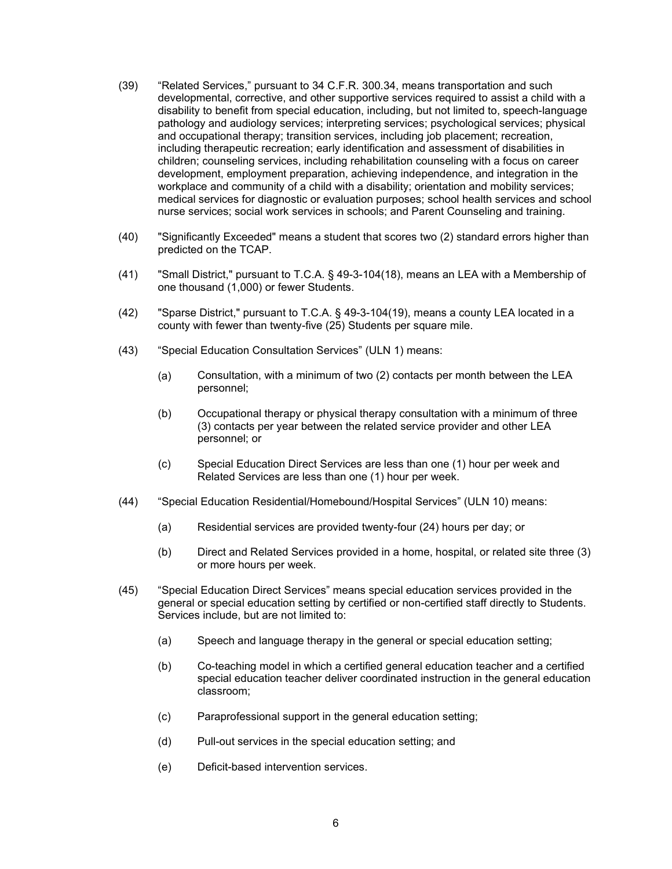- (39) "Related Services," pursuant to 34 C.F.R. 300.34, means transportation and such developmental, corrective, and other supportive services required to assist a child with a disability to benefit from special education, including, but not limited to, speech-language pathology and audiology services; interpreting services; psychological services; physical and occupational therapy; transition services, including job placement; recreation, including therapeutic recreation; early identification and assessment of disabilities in children; counseling services, including rehabilitation counseling with a focus on career development, employment preparation, achieving independence, and integration in the workplace and community of a child with a disability; orientation and mobility services; medical services for diagnostic or evaluation purposes; school health services and school nurse services; social work services in schools; and Parent Counseling and training.
- (40) "Significantly Exceeded" means a student that scores two (2) standard errors higher than predicted on the TCAP.
- (41) "Small District," pursuant to T.C.A. § 49-3-104(18), means an LEA with a Membership of one thousand (1,000) or fewer Students.
- (42) "Sparse District," pursuant to T.C.A. § 49-3-104(19), means a county LEA located in a county with fewer than twenty-five (25) Students per square mile.
- (43) "Special Education Consultation Services" (ULN 1) means:
	- (a) Consultation, with a minimum of two (2) contacts per month between the LEA personnel;
	- (b) Occupational therapy or physical therapy consultation with a minimum of three (3) contacts per year between the related service provider and other LEA personnel; or
	- (c) Special Education Direct Services are less than one (1) hour per week and Related Services are less than one (1) hour per week.
- (44) "Special Education Residential/Homebound/Hospital Services" (ULN 10) means:
	- (a) Residential services are provided twenty-four (24) hours per day; or
	- (b) Direct and Related Services provided in a home, hospital, or related site three (3) or more hours per week.
- (45) "Special Education Direct Services" means special education services provided in the general or special education setting by certified or non-certified staff directly to Students. Services include, but are not limited to:
	- (a) Speech and language therapy in the general or special education setting;
	- (b) Co-teaching model in which a certified general education teacher and a certified special education teacher deliver coordinated instruction in the general education classroom;
	- (c) Paraprofessional support in the general education setting;
	- (d) Pull-out services in the special education setting; and
	- (e) Deficit-based intervention services.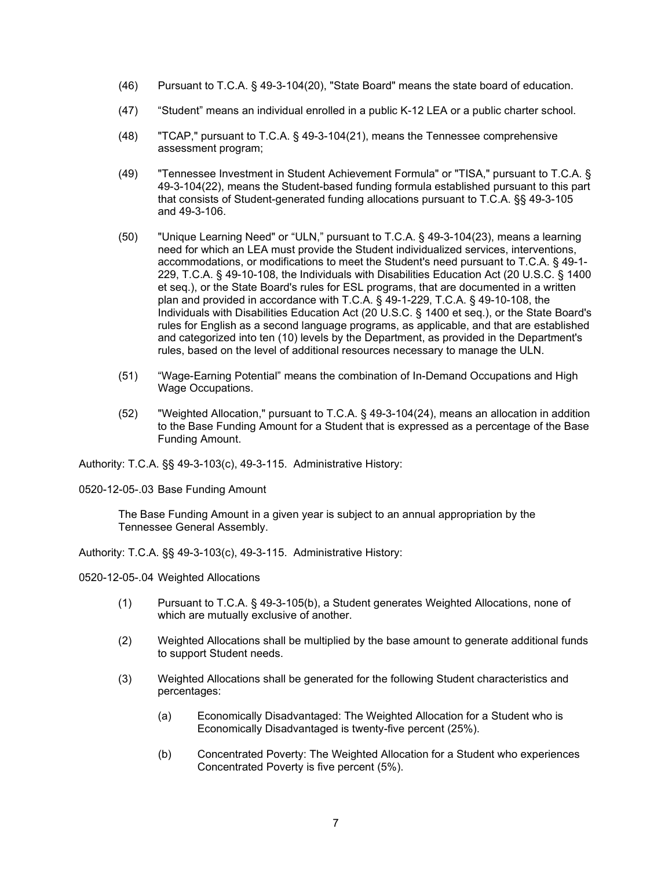- (46) Pursuant to T.C.A. § 49-3-104(20), "State Board" means the state board of education.
- (47) "Student" means an individual enrolled in a public K-12 LEA or a public charter school.
- (48) "TCAP," pursuant to T.C.A. § 49-3-104(21), means the Tennessee comprehensive assessment program;
- (49) "Tennessee Investment in Student Achievement Formula" or "TISA," pursuant to T.C.A. § 49-3-104(22), means the Student-based funding formula established pursuant to this part that consists of Student-generated funding allocations pursuant to T.C.A. §§ 49-3-105 and 49-3-106.
- (50) "Unique Learning Need" or "ULN," pursuant to T.C.A. § 49-3-104(23), means a learning need for which an LEA must provide the Student individualized services, interventions, accommodations, or modifications to meet the Student's need pursuant to T.C.A. § 49-1- 229, T.C.A. § 49-10-108, the Individuals with Disabilities Education Act (20 U.S.C. § 1400 et seq.), or the State Board's rules for ESL programs, that are documented in a written plan and provided in accordance with T.C.A. § 49-1-229, T.C.A. § 49-10-108, the Individuals with Disabilities Education Act (20 U.S.C. § 1400 et seq.), or the State Board's rules for English as a second language programs, as applicable, and that are established and categorized into ten (10) levels by the Department, as provided in the Department's rules, based on the level of additional resources necessary to manage the ULN.
- (51) "Wage-Earning Potential" means the combination of In-Demand Occupations and High Wage Occupations.
- (52) "Weighted Allocation," pursuant to T.C.A. § 49-3-104(24), means an allocation in addition to the Base Funding Amount for a Student that is expressed as a percentage of the Base Funding Amount.

Authority: T.C.A. §§ 49-3-103(c), 49-3-115. Administrative History:

0520-12-05-.03 Base Funding Amount

The Base Funding Amount in a given year is subject to an annual appropriation by the Tennessee General Assembly.

Authority: T.C.A. §§ 49-3-103(c), 49-3-115. Administrative History:

0520-12-05-.04 Weighted Allocations

- (1) Pursuant to T.C.A. § 49-3-105(b), a Student generates Weighted Allocations, none of which are mutually exclusive of another.
- (2) Weighted Allocations shall be multiplied by the base amount to generate additional funds to support Student needs.
- (3) Weighted Allocations shall be generated for the following Student characteristics and percentages:
	- (a) Economically Disadvantaged: The Weighted Allocation for a Student who is Economically Disadvantaged is twenty-five percent (25%).
	- (b) Concentrated Poverty: The Weighted Allocation for a Student who experiences Concentrated Poverty is five percent (5%).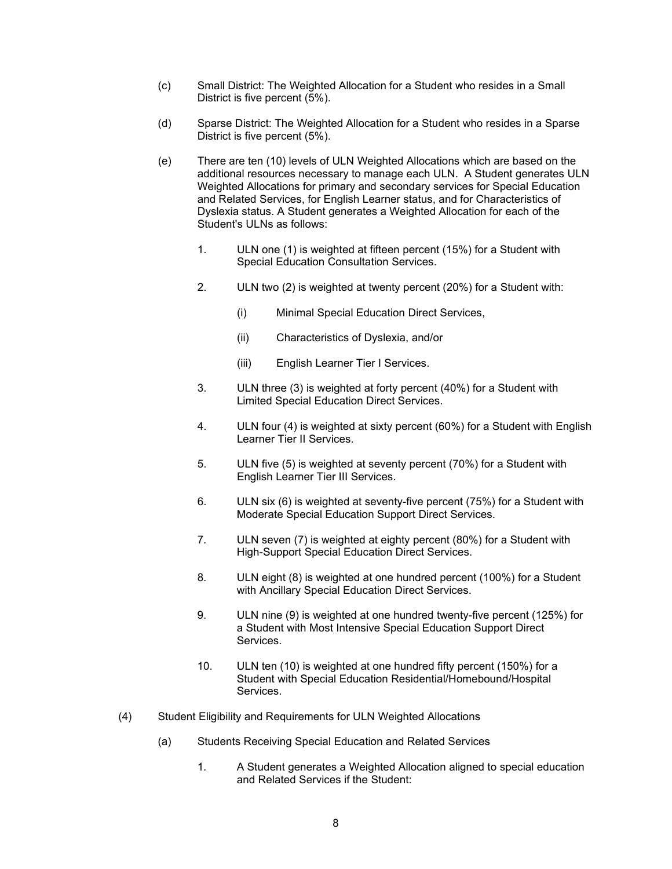- (c) Small District: The Weighted Allocation for a Student who resides in a Small District is five percent (5%).
- (d) Sparse District: The Weighted Allocation for a Student who resides in a Sparse District is five percent (5%).
- (e) There are ten (10) levels of ULN Weighted Allocations which are based on the additional resources necessary to manage each ULN. A Student generates ULN Weighted Allocations for primary and secondary services for Special Education and Related Services, for English Learner status, and for Characteristics of Dyslexia status. A Student generates a Weighted Allocation for each of the Student's ULNs as follows:
	- 1. ULN one (1) is weighted at fifteen percent (15%) for a Student with Special Education Consultation Services.
	- 2. ULN two (2) is weighted at twenty percent (20%) for a Student with:
		- (i) Minimal Special Education Direct Services,
		- (ii) Characteristics of Dyslexia, and/or
		- (iii) English Learner Tier I Services.
	- 3. ULN three (3) is weighted at forty percent (40%) for a Student with Limited Special Education Direct Services.
	- 4. ULN four (4) is weighted at sixty percent (60%) for a Student with English Learner Tier II Services.
	- 5. ULN five (5) is weighted at seventy percent (70%) for a Student with English Learner Tier III Services.
	- 6. ULN six (6) is weighted at seventy-five percent (75%) for a Student with Moderate Special Education Support Direct Services.
	- 7. ULN seven (7) is weighted at eighty percent (80%) for a Student with High-Support Special Education Direct Services.
	- 8. ULN eight (8) is weighted at one hundred percent (100%) for a Student with Ancillary Special Education Direct Services.
	- 9. ULN nine (9) is weighted at one hundred twenty-five percent (125%) for a Student with Most Intensive Special Education Support Direct Services.
	- 10. ULN ten (10) is weighted at one hundred fifty percent (150%) for a Student with Special Education Residential/Homebound/Hospital Services.
- (4) Student Eligibility and Requirements for ULN Weighted Allocations
	- (a) Students Receiving Special Education and Related Services
		- 1. A Student generates a Weighted Allocation aligned to special education and Related Services if the Student: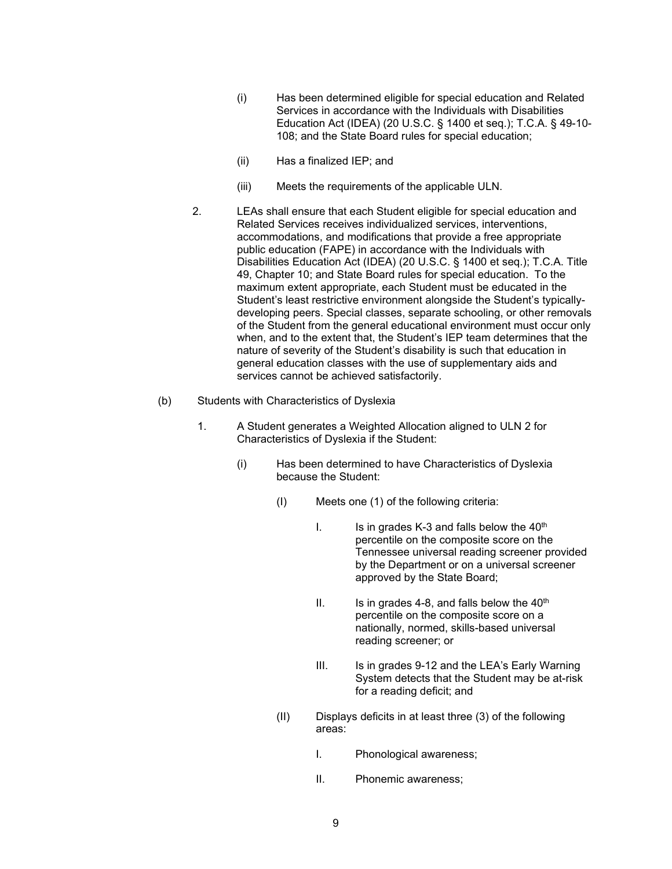- (i) Has been determined eligible for special education and Related Services in accordance with the Individuals with Disabilities Education Act (IDEA) (20 U.S.C. § 1400 et seq.); T.C.A. § 49-10- 108; and the State Board rules for special education;
- (ii) Has a finalized IEP; and
- (iii) Meets the requirements of the applicable ULN.
- 2. LEAs shall ensure that each Student eligible for special education and Related Services receives individualized services, interventions, accommodations, and modifications that provide a free appropriate public education (FAPE) in accordance with the Individuals with Disabilities Education Act (IDEA) (20 U.S.C. § 1400 et seq.); T.C.A. Title 49, Chapter 10; and State Board rules for special education. To the maximum extent appropriate, each Student must be educated in the Student's least restrictive environment alongside the Student's typicallydeveloping peers. Special classes, separate schooling, or other removals of the Student from the general educational environment must occur only when, and to the extent that, the Student's IEP team determines that the nature of severity of the Student's disability is such that education in general education classes with the use of supplementary aids and services cannot be achieved satisfactorily.
- (b) Students with Characteristics of Dyslexia
	- 1. A Student generates a Weighted Allocation aligned to ULN 2 for Characteristics of Dyslexia if the Student:
		- (i) Has been determined to have Characteristics of Dyslexia because the Student:
			- (I) Meets one (1) of the following criteria:
				- I. Is in grades K-3 and falls below the  $40<sup>th</sup>$ percentile on the composite score on the Tennessee universal reading screener provided by the Department or on a universal screener approved by the State Board;
				- II. Is in grades 4-8, and falls below the  $40<sup>th</sup>$ percentile on the composite score on a nationally, normed, skills-based universal reading screener; or
				- III. Is in grades 9-12 and the LEA's Early Warning System detects that the Student may be at-risk for a reading deficit; and
			- (II) Displays deficits in at least three (3) of the following areas:
				- I. Phonological awareness;
				- II. Phonemic awareness;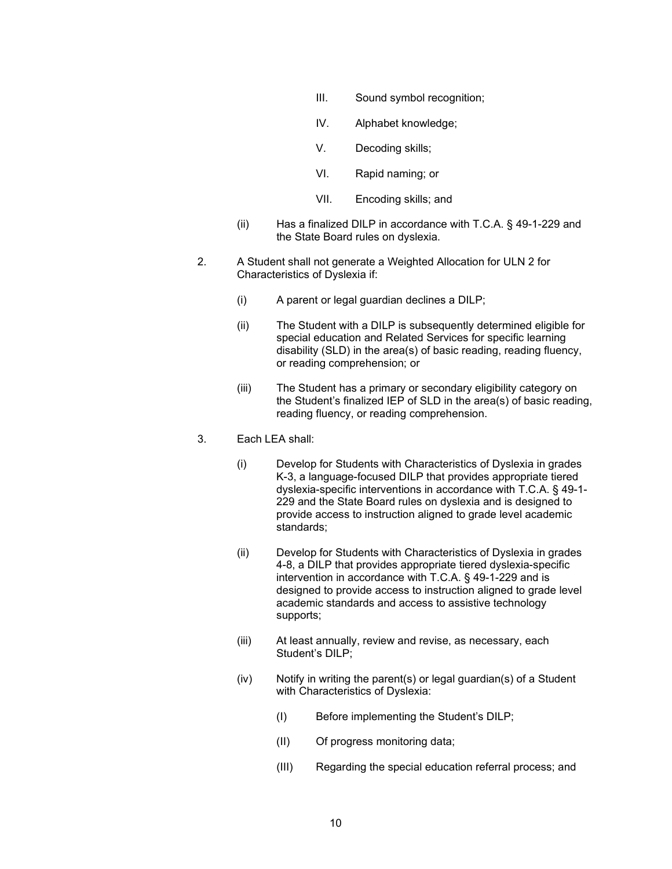- III. Sound symbol recognition;
- IV. Alphabet knowledge;
- V. Decoding skills;
- VI. Rapid naming; or
- VII. Encoding skills; and
- (ii) Has a finalized DILP in accordance with T.C.A. § 49-1-229 and the State Board rules on dyslexia.
- 2. A Student shall not generate a Weighted Allocation for ULN 2 for Characteristics of Dyslexia if:
	- (i) A parent or legal guardian declines a DILP;
	- (ii) The Student with a DILP is subsequently determined eligible for special education and Related Services for specific learning disability (SLD) in the area(s) of basic reading, reading fluency, or reading comprehension; or
	- (iii) The Student has a primary or secondary eligibility category on the Student's finalized IEP of SLD in the area(s) of basic reading, reading fluency, or reading comprehension.
- 3. Each LEA shall:
	- (i) Develop for Students with Characteristics of Dyslexia in grades K-3, a language-focused DILP that provides appropriate tiered dyslexia-specific interventions in accordance with T.C.A. § 49-1- 229 and the State Board rules on dyslexia and is designed to provide access to instruction aligned to grade level academic standards;
	- (ii) Develop for Students with Characteristics of Dyslexia in grades 4-8, a DILP that provides appropriate tiered dyslexia-specific intervention in accordance with T.C.A. § 49-1-229 and is designed to provide access to instruction aligned to grade level academic standards and access to assistive technology supports;
	- (iii) At least annually, review and revise, as necessary, each Student's DILP;
	- (iv) Notify in writing the parent(s) or legal guardian(s) of a Student with Characteristics of Dyslexia:
		- (I) Before implementing the Student's DILP;
		- (II) Of progress monitoring data;
		- (III) Regarding the special education referral process; and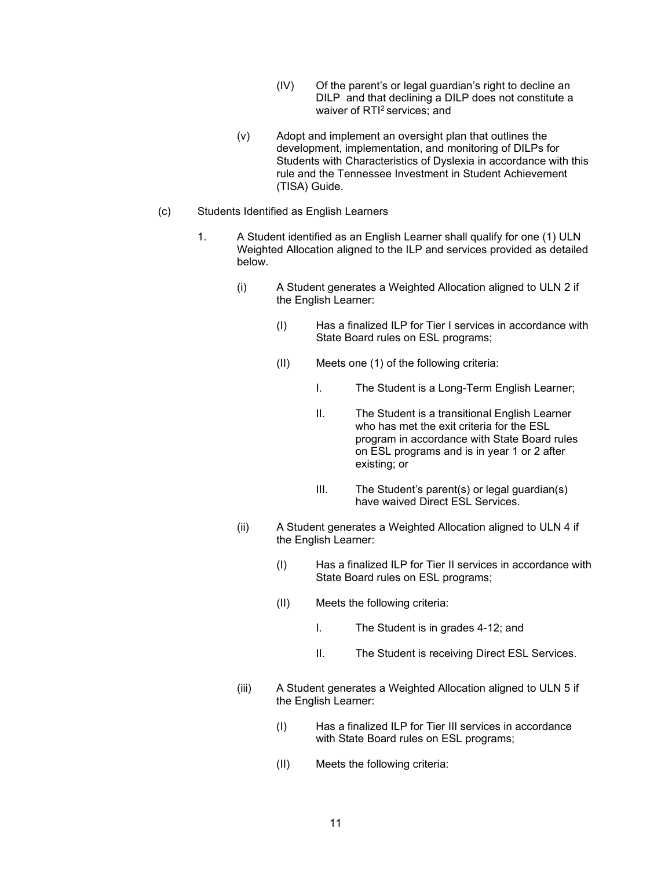- (IV) Of the parent's or legal guardian's right to decline an DILP and that declining a DILP does not constitute a waiver of RTI<sup>2</sup> services: and
- (v) Adopt and implement an oversight plan that outlines the development, implementation, and monitoring of DILPs for Students with Characteristics of Dyslexia in accordance with this rule and the Tennessee Investment in Student Achievement (TISA) Guide.
- (c) Students Identified as English Learners
	- 1. A Student identified as an English Learner shall qualify for one (1) ULN Weighted Allocation aligned to the ILP and services provided as detailed below.
		- (i) A Student generates a Weighted Allocation aligned to ULN 2 if the English Learner:
			- (I) Has a finalized ILP for Tier I services in accordance with State Board rules on ESL programs;
			- (II) Meets one (1) of the following criteria:
				- I. The Student is a Long-Term English Learner;
				- II. The Student is a transitional English Learner who has met the exit criteria for the ESL program in accordance with State Board rules on ESL programs and is in year 1 or 2 after existing; or
				- III. The Student's parent(s) or legal guardian(s) have waived Direct ESL Services.
		- (ii) A Student generates a Weighted Allocation aligned to ULN 4 if the English Learner:
			- (I) Has a finalized ILP for Tier II services in accordance with State Board rules on ESL programs;
			- (II) Meets the following criteria:
				- I. The Student is in grades 4-12; and
				- II. The Student is receiving Direct ESL Services.
		- (iii) A Student generates a Weighted Allocation aligned to ULN 5 if the English Learner:
			- (I) Has a finalized ILP for Tier III services in accordance with State Board rules on ESL programs;
			- (II) Meets the following criteria: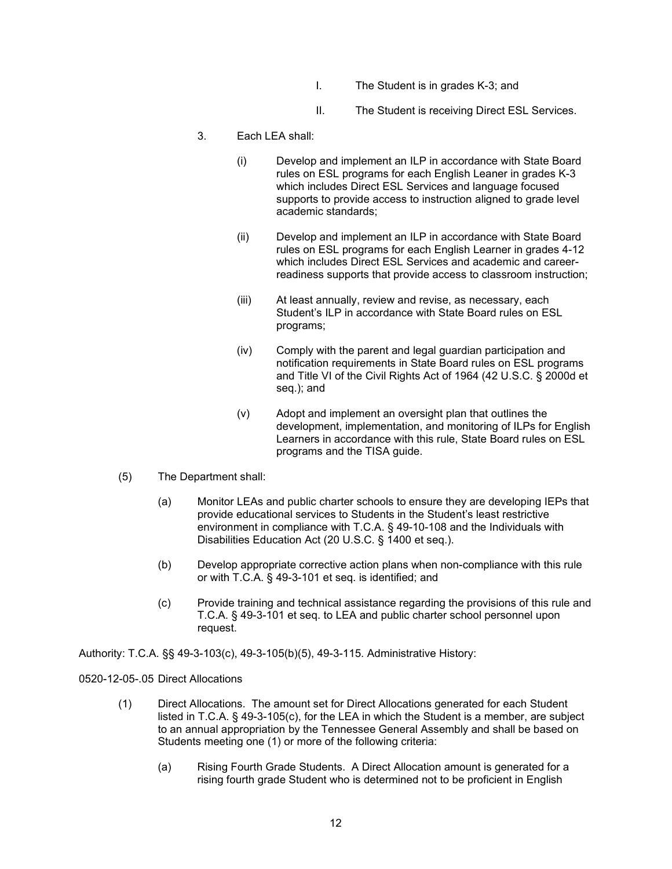- I. The Student is in grades K-3; and
- II. The Student is receiving Direct ESL Services.
- 3. Each LEA shall:
	- (i) Develop and implement an ILP in accordance with State Board rules on ESL programs for each English Leaner in grades K-3 which includes Direct ESL Services and language focused supports to provide access to instruction aligned to grade level academic standards;
	- (ii) Develop and implement an ILP in accordance with State Board rules on ESL programs for each English Learner in grades 4-12 which includes Direct ESL Services and academic and careerreadiness supports that provide access to classroom instruction;
	- (iii) At least annually, review and revise, as necessary, each Student's ILP in accordance with State Board rules on ESL programs;
	- (iv) Comply with the parent and legal guardian participation and notification requirements in State Board rules on ESL programs and Title VI of the Civil Rights Act of 1964 (42 U.S.C. § 2000d et seq.); and
	- (v) Adopt and implement an oversight plan that outlines the development, implementation, and monitoring of ILPs for English Learners in accordance with this rule, State Board rules on ESL programs and the TISA guide.
- (5) The Department shall:
	- (a) Monitor LEAs and public charter schools to ensure they are developing IEPs that provide educational services to Students in the Student's least restrictive environment in compliance with T.C.A. § 49-10-108 and the Individuals with Disabilities Education Act (20 U.S.C. § 1400 et seq.).
	- (b) Develop appropriate corrective action plans when non-compliance with this rule or with T.C.A. § 49-3-101 et seq. is identified; and
	- (c) Provide training and technical assistance regarding the provisions of this rule and T.C.A. § 49-3-101 et seq. to LEA and public charter school personnel upon request.

Authority: T.C.A. §§ 49-3-103(c), 49-3-105(b)(5), 49-3-115. Administrative History:

0520-12-05-.05 Direct Allocations

- (1) Direct Allocations. The amount set for Direct Allocations generated for each Student listed in T.C.A. § 49-3-105(c), for the LEA in which the Student is a member, are subject to an annual appropriation by the Tennessee General Assembly and shall be based on Students meeting one (1) or more of the following criteria:
	- (a) Rising Fourth Grade Students. A Direct Allocation amount is generated for a rising fourth grade Student who is determined not to be proficient in English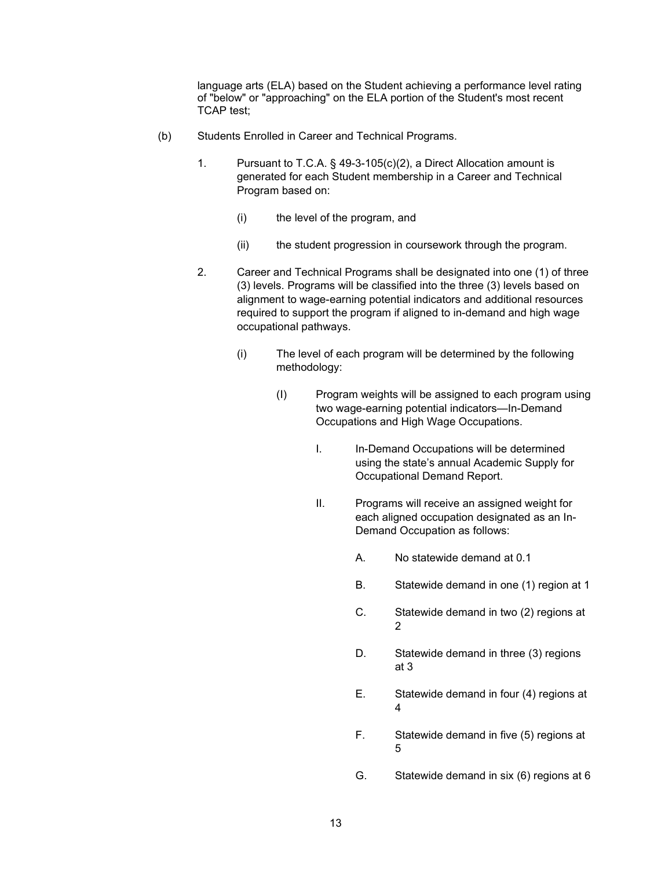language arts (ELA) based on the Student achieving a performance level rating of "below" or "approaching" on the ELA portion of the Student's most recent TCAP test;

- (b) Students Enrolled in Career and Technical Programs.
	- 1. Pursuant to T.C.A. § 49-3-105(c)(2), a Direct Allocation amount is generated for each Student membership in a Career and Technical Program based on:
		- (i) the level of the program, and
		- (ii) the student progression in coursework through the program.
	- 2. Career and Technical Programs shall be designated into one (1) of three (3) levels. Programs will be classified into the three (3) levels based on alignment to wage-earning potential indicators and additional resources required to support the program if aligned to in-demand and high wage occupational pathways.
		- (i) The level of each program will be determined by the following methodology:
			- (I) Program weights will be assigned to each program using two wage-earning potential indicators—In-Demand Occupations and High Wage Occupations.
				- I. In-Demand Occupations will be determined using the state's annual Academic Supply for Occupational Demand Report.
				- II. Programs will receive an assigned weight for each aligned occupation designated as an In-Demand Occupation as follows:
					- A. No statewide demand at 0.1
					- B. Statewide demand in one (1) region at 1
					- C. Statewide demand in two (2) regions at  $\mathfrak{D}$
					- D. Statewide demand in three (3) regions at 3
					- E. Statewide demand in four (4) regions at 4
					- F. Statewide demand in five (5) regions at 5
					- G. Statewide demand in six (6) regions at 6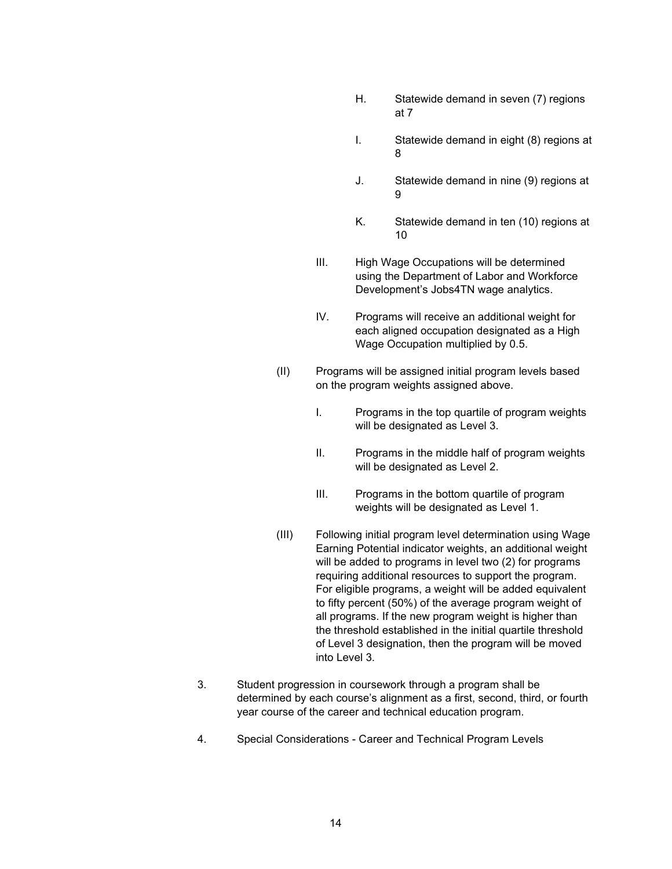- H. Statewide demand in seven (7) regions at 7
- I. Statewide demand in eight (8) regions at 8
- J. Statewide demand in nine (9) regions at 9
- K. Statewide demand in ten (10) regions at 10
- III. High Wage Occupations will be determined using the Department of Labor and Workforce Development's Jobs4TN wage analytics.
- IV. Programs will receive an additional weight for each aligned occupation designated as a High Wage Occupation multiplied by 0.5.
- (II) Programs will be assigned initial program levels based on the program weights assigned above.
	- I. Programs in the top quartile of program weights will be designated as Level 3.
	- II. Programs in the middle half of program weights will be designated as Level 2.
	- III. Programs in the bottom quartile of program weights will be designated as Level 1.
- (III) Following initial program level determination using Wage Earning Potential indicator weights, an additional weight will be added to programs in level two (2) for programs requiring additional resources to support the program. For eligible programs, a weight will be added equivalent to fifty percent (50%) of the average program weight of all programs. If the new program weight is higher than the threshold established in the initial quartile threshold of Level 3 designation, then the program will be moved into Level 3.
- 3. Student progression in coursework through a program shall be determined by each course's alignment as a first, second, third, or fourth year course of the career and technical education program.
- 4. Special Considerations Career and Technical Program Levels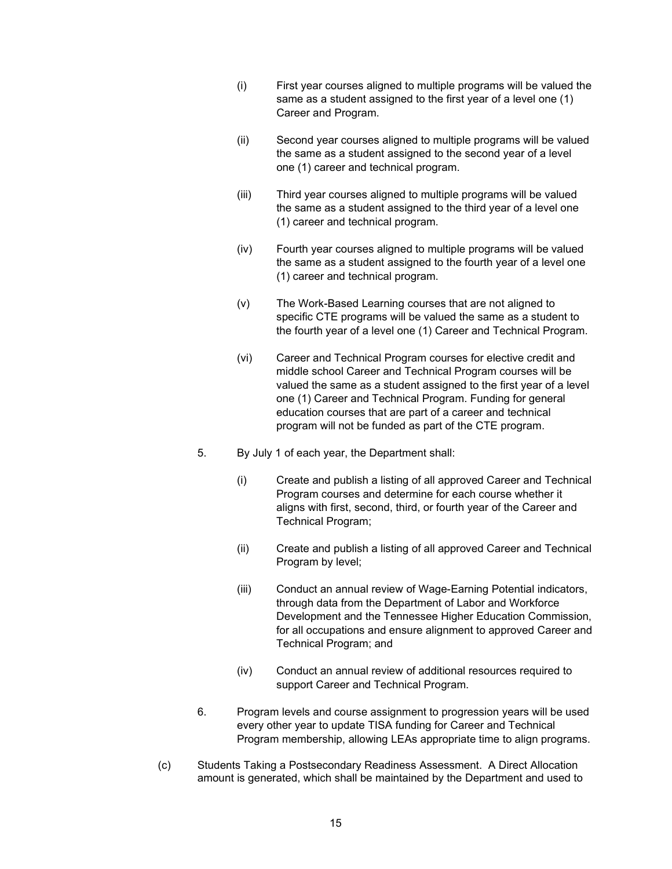- (i) First year courses aligned to multiple programs will be valued the same as a student assigned to the first year of a level one (1) Career and Program.
- (ii) Second year courses aligned to multiple programs will be valued the same as a student assigned to the second year of a level one (1) career and technical program.
- (iii) Third year courses aligned to multiple programs will be valued the same as a student assigned to the third year of a level one (1) career and technical program.
- (iv) Fourth year courses aligned to multiple programs will be valued the same as a student assigned to the fourth year of a level one (1) career and technical program.
- (v) The Work-Based Learning courses that are not aligned to specific CTE programs will be valued the same as a student to the fourth year of a level one (1) Career and Technical Program.
- (vi) Career and Technical Program courses for elective credit and middle school Career and Technical Program courses will be valued the same as a student assigned to the first year of a level one (1) Career and Technical Program. Funding for general education courses that are part of a career and technical program will not be funded as part of the CTE program.
- 5. By July 1 of each year, the Department shall:
	- (i) Create and publish a listing of all approved Career and Technical Program courses and determine for each course whether it aligns with first, second, third, or fourth year of the Career and Technical Program;
	- (ii) Create and publish a listing of all approved Career and Technical Program by level;
	- (iii) Conduct an annual review of Wage-Earning Potential indicators, through data from the Department of Labor and Workforce Development and the Tennessee Higher Education Commission, for all occupations and ensure alignment to approved Career and Technical Program; and
	- (iv) Conduct an annual review of additional resources required to support Career and Technical Program.
- 6. Program levels and course assignment to progression years will be used every other year to update TISA funding for Career and Technical Program membership, allowing LEAs appropriate time to align programs.
- (c) Students Taking a Postsecondary Readiness Assessment. A Direct Allocation amount is generated, which shall be maintained by the Department and used to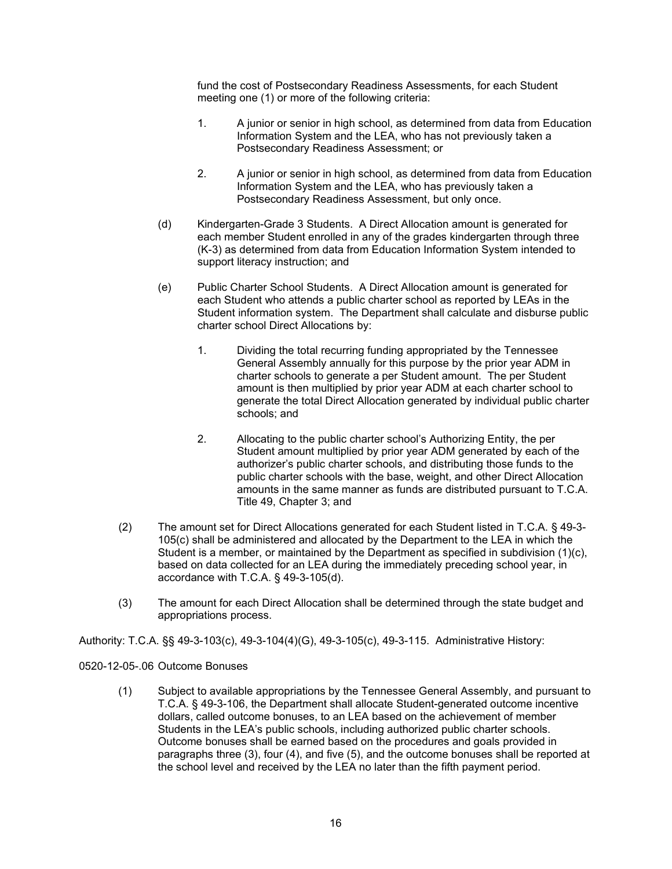fund the cost of Postsecondary Readiness Assessments, for each Student meeting one (1) or more of the following criteria:

- 1. A junior or senior in high school, as determined from data from Education Information System and the LEA, who has not previously taken a Postsecondary Readiness Assessment; or
- 2. A junior or senior in high school, as determined from data from Education Information System and the LEA, who has previously taken a Postsecondary Readiness Assessment, but only once.
- (d) Kindergarten-Grade 3 Students. A Direct Allocation amount is generated for each member Student enrolled in any of the grades kindergarten through three (K-3) as determined from data from Education Information System intended to support literacy instruction; and
- (e) Public Charter School Students. A Direct Allocation amount is generated for each Student who attends a public charter school as reported by LEAs in the Student information system. The Department shall calculate and disburse public charter school Direct Allocations by:
	- 1. Dividing the total recurring funding appropriated by the Tennessee General Assembly annually for this purpose by the prior year ADM in charter schools to generate a per Student amount. The per Student amount is then multiplied by prior year ADM at each charter school to generate the total Direct Allocation generated by individual public charter schools; and
	- 2. Allocating to the public charter school's Authorizing Entity, the per Student amount multiplied by prior year ADM generated by each of the authorizer's public charter schools, and distributing those funds to the public charter schools with the base, weight, and other Direct Allocation amounts in the same manner as funds are distributed pursuant to T.C.A. Title 49, Chapter 3; and
- (2) The amount set for Direct Allocations generated for each Student listed in T.C.A. § 49-3- 105(c) shall be administered and allocated by the Department to the LEA in which the Student is a member, or maintained by the Department as specified in subdivision (1)(c), based on data collected for an LEA during the immediately preceding school year, in accordance with T.C.A. § 49-3-105(d).
- (3) The amount for each Direct Allocation shall be determined through the state budget and appropriations process.

Authority: T.C.A. §§ 49-3-103(c), 49-3-104(4)(G), 49-3-105(c), 49-3-115. Administrative History:

0520-12-05-.06 Outcome Bonuses

(1) Subject to available appropriations by the Tennessee General Assembly, and pursuant to T.C.A. § 49-3-106, the Department shall allocate Student-generated outcome incentive dollars, called outcome bonuses, to an LEA based on the achievement of member Students in the LEA's public schools, including authorized public charter schools. Outcome bonuses shall be earned based on the procedures and goals provided in paragraphs three (3), four (4), and five (5), and the outcome bonuses shall be reported at the school level and received by the LEA no later than the fifth payment period.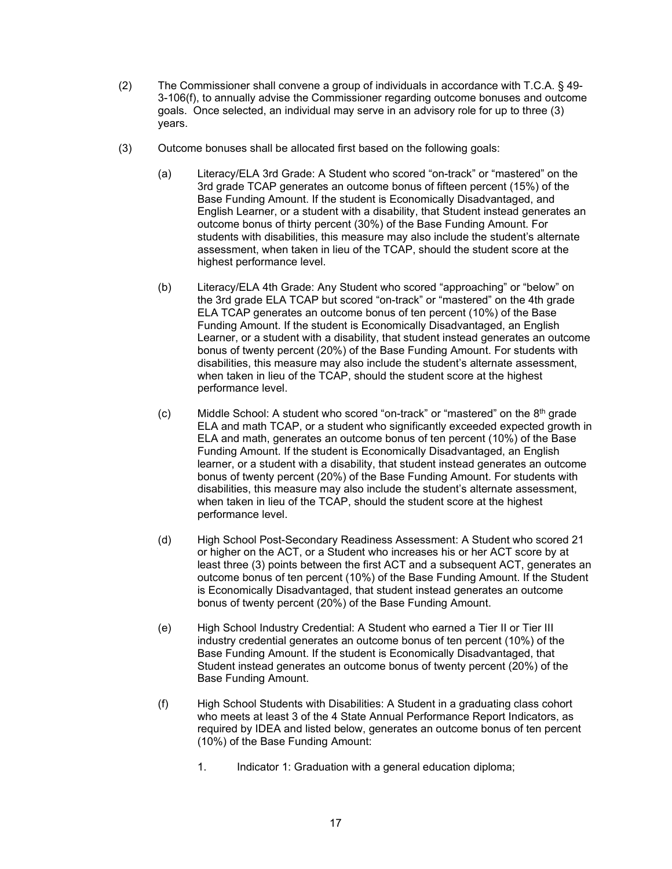- (2) The Commissioner shall convene a group of individuals in accordance with T.C.A. § 49- 3-106(f), to annually advise the Commissioner regarding outcome bonuses and outcome goals. Once selected, an individual may serve in an advisory role for up to three (3) years.
- (3) Outcome bonuses shall be allocated first based on the following goals:
	- (a) Literacy/ELA 3rd Grade: A Student who scored "on-track" or "mastered" on the 3rd grade TCAP generates an outcome bonus of fifteen percent (15%) of the Base Funding Amount. If the student is Economically Disadvantaged, and English Learner, or a student with a disability, that Student instead generates an outcome bonus of thirty percent (30%) of the Base Funding Amount. For students with disabilities, this measure may also include the student's alternate assessment, when taken in lieu of the TCAP, should the student score at the highest performance level.
	- (b) Literacy/ELA 4th Grade: Any Student who scored "approaching" or "below" on the 3rd grade ELA TCAP but scored "on-track" or "mastered" on the 4th grade ELA TCAP generates an outcome bonus of ten percent (10%) of the Base Funding Amount. If the student is Economically Disadvantaged, an English Learner, or a student with a disability, that student instead generates an outcome bonus of twenty percent (20%) of the Base Funding Amount. For students with disabilities, this measure may also include the student's alternate assessment, when taken in lieu of the TCAP, should the student score at the highest performance level.
	- (c) Middle School: A student who scored "on-track" or "mastered" on the  $8<sup>th</sup>$  grade ELA and math TCAP, or a student who significantly exceeded expected growth in ELA and math, generates an outcome bonus of ten percent (10%) of the Base Funding Amount. If the student is Economically Disadvantaged, an English learner, or a student with a disability, that student instead generates an outcome bonus of twenty percent (20%) of the Base Funding Amount. For students with disabilities, this measure may also include the student's alternate assessment, when taken in lieu of the TCAP, should the student score at the highest performance level.
	- (d) High School Post-Secondary Readiness Assessment: A Student who scored 21 or higher on the ACT, or a Student who increases his or her ACT score by at least three (3) points between the first ACT and a subsequent ACT, generates an outcome bonus of ten percent (10%) of the Base Funding Amount. If the Student is Economically Disadvantaged, that student instead generates an outcome bonus of twenty percent (20%) of the Base Funding Amount.
	- (e) High School Industry Credential: A Student who earned a Tier II or Tier III industry credential generates an outcome bonus of ten percent (10%) of the Base Funding Amount. If the student is Economically Disadvantaged, that Student instead generates an outcome bonus of twenty percent (20%) of the Base Funding Amount.
	- (f) High School Students with Disabilities: A Student in a graduating class cohort who meets at least 3 of the 4 State Annual Performance Report Indicators, as required by IDEA and listed below, generates an outcome bonus of ten percent (10%) of the Base Funding Amount:
		- 1. Indicator 1: Graduation with a general education diploma;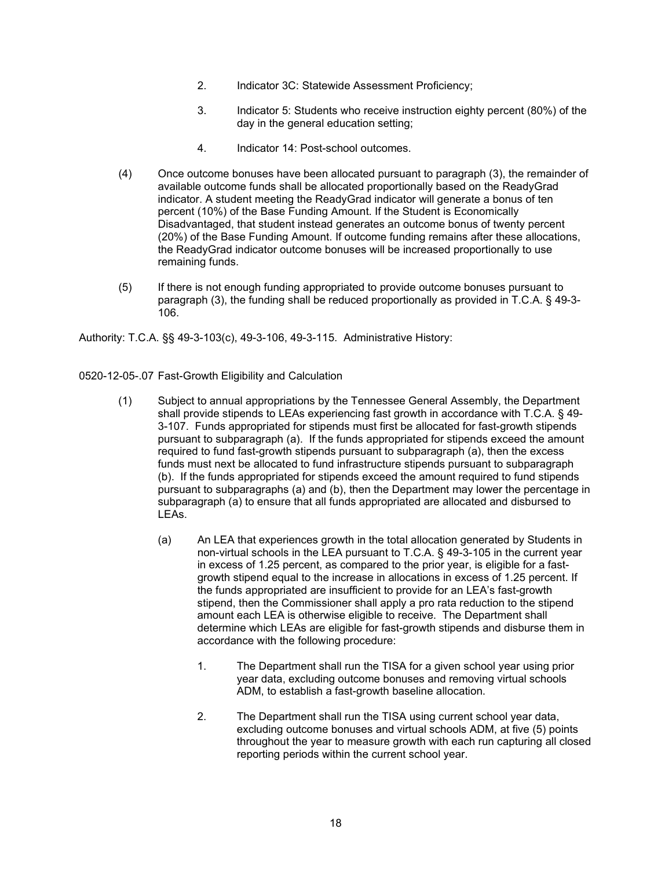- 2. Indicator 3C: Statewide Assessment Proficiency;
- 3. Indicator 5: Students who receive instruction eighty percent (80%) of the day in the general education setting;
- 4. Indicator 14: Post-school outcomes.
- (4) Once outcome bonuses have been allocated pursuant to paragraph (3), the remainder of available outcome funds shall be allocated proportionally based on the ReadyGrad indicator. A student meeting the ReadyGrad indicator will generate a bonus of ten percent (10%) of the Base Funding Amount. If the Student is Economically Disadvantaged, that student instead generates an outcome bonus of twenty percent (20%) of the Base Funding Amount. If outcome funding remains after these allocations, the ReadyGrad indicator outcome bonuses will be increased proportionally to use remaining funds.
- (5) If there is not enough funding appropriated to provide outcome bonuses pursuant to paragraph (3), the funding shall be reduced proportionally as provided in T.C.A. § 49-3- 106.

Authority: T.C.A. §§ 49-3-103(c), 49-3-106, 49-3-115. Administrative History:

- 0520-12-05-.07 Fast-Growth Eligibility and Calculation
	- (1) Subject to annual appropriations by the Tennessee General Assembly, the Department shall provide stipends to LEAs experiencing fast growth in accordance with T.C.A. § 49- 3-107. Funds appropriated for stipends must first be allocated for fast-growth stipends pursuant to subparagraph (a). If the funds appropriated for stipends exceed the amount required to fund fast-growth stipends pursuant to subparagraph (a), then the excess funds must next be allocated to fund infrastructure stipends pursuant to subparagraph (b). If the funds appropriated for stipends exceed the amount required to fund stipends pursuant to subparagraphs (a) and (b), then the Department may lower the percentage in subparagraph (a) to ensure that all funds appropriated are allocated and disbursed to LEAs.
		- (a) An LEA that experiences growth in the total allocation generated by Students in non-virtual schools in the LEA pursuant to T.C.A. § 49-3-105 in the current year in excess of 1.25 percent, as compared to the prior year, is eligible for a fastgrowth stipend equal to the increase in allocations in excess of 1.25 percent. If the funds appropriated are insufficient to provide for an LEA's fast-growth stipend, then the Commissioner shall apply a pro rata reduction to the stipend amount each LEA is otherwise eligible to receive. The Department shall determine which LEAs are eligible for fast-growth stipends and disburse them in accordance with the following procedure:
			- 1. The Department shall run the TISA for a given school year using prior year data, excluding outcome bonuses and removing virtual schools ADM, to establish a fast-growth baseline allocation.
			- 2. The Department shall run the TISA using current school year data, excluding outcome bonuses and virtual schools ADM, at five (5) points throughout the year to measure growth with each run capturing all closed reporting periods within the current school year.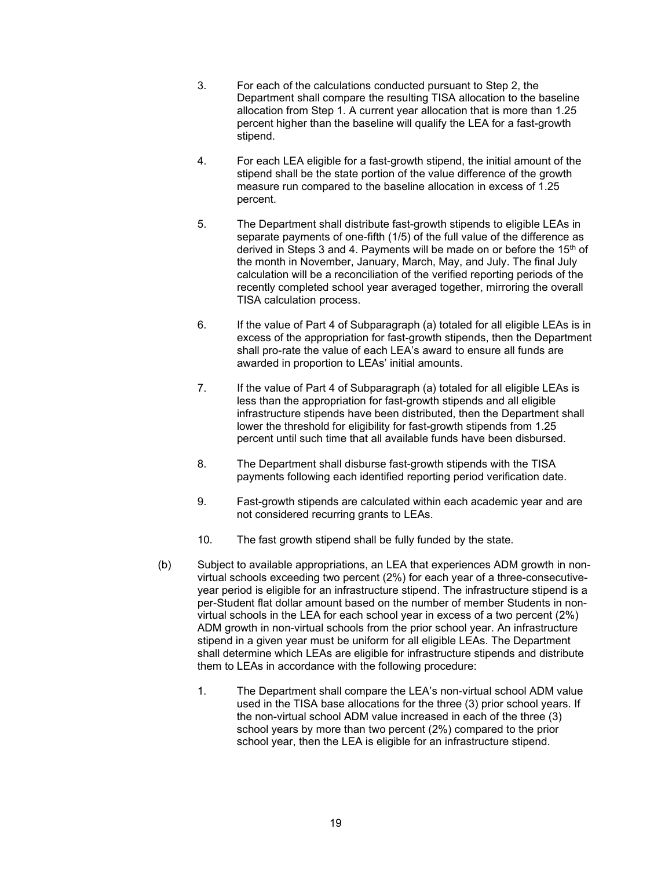- 3. For each of the calculations conducted pursuant to Step 2, the Department shall compare the resulting TISA allocation to the baseline allocation from Step 1. A current year allocation that is more than 1.25 percent higher than the baseline will qualify the LEA for a fast-growth stipend.
- 4. For each LEA eligible for a fast-growth stipend, the initial amount of the stipend shall be the state portion of the value difference of the growth measure run compared to the baseline allocation in excess of 1.25 percent.
- 5. The Department shall distribute fast-growth stipends to eligible LEAs in separate payments of one-fifth (1/5) of the full value of the difference as derived in Steps 3 and 4. Payments will be made on or before the 15th of the month in November, January, March, May, and July. The final July calculation will be a reconciliation of the verified reporting periods of the recently completed school year averaged together, mirroring the overall TISA calculation process.
- 6. If the value of Part 4 of Subparagraph (a) totaled for all eligible LEAs is in excess of the appropriation for fast-growth stipends, then the Department shall pro-rate the value of each LEA's award to ensure all funds are awarded in proportion to LEAs' initial amounts.
- 7. If the value of Part 4 of Subparagraph (a) totaled for all eligible LEAs is less than the appropriation for fast-growth stipends and all eligible infrastructure stipends have been distributed, then the Department shall lower the threshold for eligibility for fast-growth stipends from 1.25 percent until such time that all available funds have been disbursed.
- 8. The Department shall disburse fast-growth stipends with the TISA payments following each identified reporting period verification date.
- 9. Fast-growth stipends are calculated within each academic year and are not considered recurring grants to LEAs.
- 10. The fast growth stipend shall be fully funded by the state.
- (b) Subject to available appropriations, an LEA that experiences ADM growth in nonvirtual schools exceeding two percent (2%) for each year of a three-consecutiveyear period is eligible for an infrastructure stipend. The infrastructure stipend is a per-Student flat dollar amount based on the number of member Students in nonvirtual schools in the LEA for each school year in excess of a two percent (2%) ADM growth in non-virtual schools from the prior school year. An infrastructure stipend in a given year must be uniform for all eligible LEAs. The Department shall determine which LEAs are eligible for infrastructure stipends and distribute them to LEAs in accordance with the following procedure:
	- 1. The Department shall compare the LEA's non-virtual school ADM value used in the TISA base allocations for the three (3) prior school years. If the non-virtual school ADM value increased in each of the three (3) school years by more than two percent (2%) compared to the prior school year, then the LEA is eligible for an infrastructure stipend.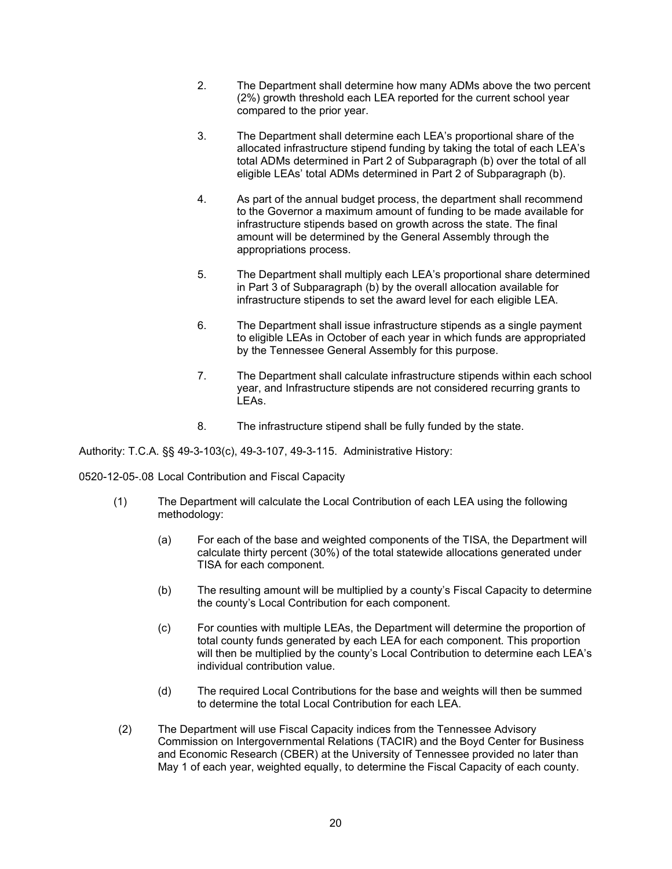- 2. The Department shall determine how many ADMs above the two percent (2%) growth threshold each LEA reported for the current school year compared to the prior year.
- 3. The Department shall determine each LEA's proportional share of the allocated infrastructure stipend funding by taking the total of each LEA's total ADMs determined in Part 2 of Subparagraph (b) over the total of all eligible LEAs' total ADMs determined in Part 2 of Subparagraph (b).
- 4. As part of the annual budget process, the department shall recommend to the Governor a maximum amount of funding to be made available for infrastructure stipends based on growth across the state. The final amount will be determined by the General Assembly through the appropriations process.
- 5. The Department shall multiply each LEA's proportional share determined in Part 3 of Subparagraph (b) by the overall allocation available for infrastructure stipends to set the award level for each eligible LEA.
- 6. The Department shall issue infrastructure stipends as a single payment to eligible LEAs in October of each year in which funds are appropriated by the Tennessee General Assembly for this purpose.
- 7. The Department shall calculate infrastructure stipends within each school year, and Infrastructure stipends are not considered recurring grants to LEAs.
- 8. The infrastructure stipend shall be fully funded by the state.

Authority: T.C.A. §§ 49-3-103(c), 49-3-107, 49-3-115. Administrative History:

0520-12-05-.08 Local Contribution and Fiscal Capacity

- (1) The Department will calculate the Local Contribution of each LEA using the following methodology:
	- (a) For each of the base and weighted components of the TISA, the Department will calculate thirty percent (30%) of the total statewide allocations generated under TISA for each component.
	- (b) The resulting amount will be multiplied by a county's Fiscal Capacity to determine the county's Local Contribution for each component.
	- (c) For counties with multiple LEAs, the Department will determine the proportion of total county funds generated by each LEA for each component. This proportion will then be multiplied by the county's Local Contribution to determine each LEA's individual contribution value.
	- (d) The required Local Contributions for the base and weights will then be summed to determine the total Local Contribution for each LEA.
	- (2) The Department will use Fiscal Capacity indices from the Tennessee Advisory Commission on Intergovernmental Relations (TACIR) and the Boyd Center for Business and Economic Research (CBER) at the University of Tennessee provided no later than May 1 of each year, weighted equally, to determine the Fiscal Capacity of each county.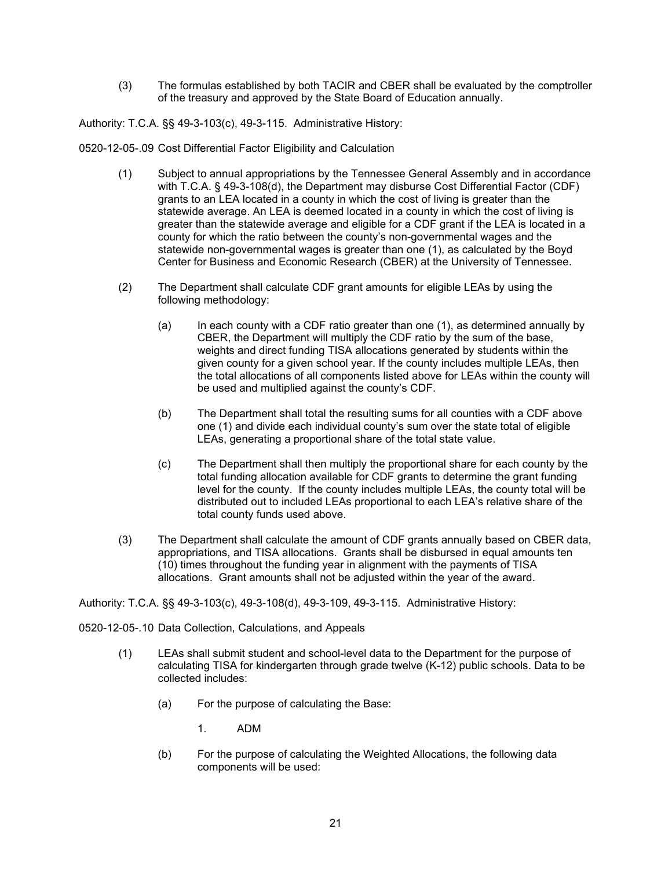(3) The formulas established by both TACIR and CBER shall be evaluated by the comptroller of the treasury and approved by the State Board of Education annually.

Authority: T.C.A. §§ 49-3-103(c), 49-3-115. Administrative History:

0520-12-05-.09 Cost Differential Factor Eligibility and Calculation

- (1) Subject to annual appropriations by the Tennessee General Assembly and in accordance with T.C.A. § 49-3-108(d), the Department may disburse Cost Differential Factor (CDF) grants to an LEA located in a county in which the cost of living is greater than the statewide average. An LEA is deemed located in a county in which the cost of living is greater than the statewide average and eligible for a CDF grant if the LEA is located in a county for which the ratio between the county's non-governmental wages and the statewide non-governmental wages is greater than one (1), as calculated by the Boyd Center for Business and Economic Research (CBER) at the University of Tennessee.
- (2) The Department shall calculate CDF grant amounts for eligible LEAs by using the following methodology:
	- (a) In each county with a CDF ratio greater than one (1), as determined annually by CBER, the Department will multiply the CDF ratio by the sum of the base, weights and direct funding TISA allocations generated by students within the given county for a given school year. If the county includes multiple LEAs, then the total allocations of all components listed above for LEAs within the county will be used and multiplied against the county's CDF.
	- (b) The Department shall total the resulting sums for all counties with a CDF above one (1) and divide each individual county's sum over the state total of eligible LEAs, generating a proportional share of the total state value.
	- (c) The Department shall then multiply the proportional share for each county by the total funding allocation available for CDF grants to determine the grant funding level for the county. If the county includes multiple LEAs, the county total will be distributed out to included LEAs proportional to each LEA's relative share of the total county funds used above.
- (3) The Department shall calculate the amount of CDF grants annually based on CBER data, appropriations, and TISA allocations. Grants shall be disbursed in equal amounts ten (10) times throughout the funding year in alignment with the payments of TISA allocations. Grant amounts shall not be adjusted within the year of the award.

Authority: T.C.A. §§ 49-3-103(c), 49-3-108(d), 49-3-109, 49-3-115. Administrative History:

0520-12-05-.10 Data Collection, Calculations, and Appeals

- (1) LEAs shall submit student and school-level data to the Department for the purpose of calculating TISA for kindergarten through grade twelve (K-12) public schools. Data to be collected includes:
	- (a) For the purpose of calculating the Base:
		- 1. ADM
	- (b) For the purpose of calculating the Weighted Allocations, the following data components will be used: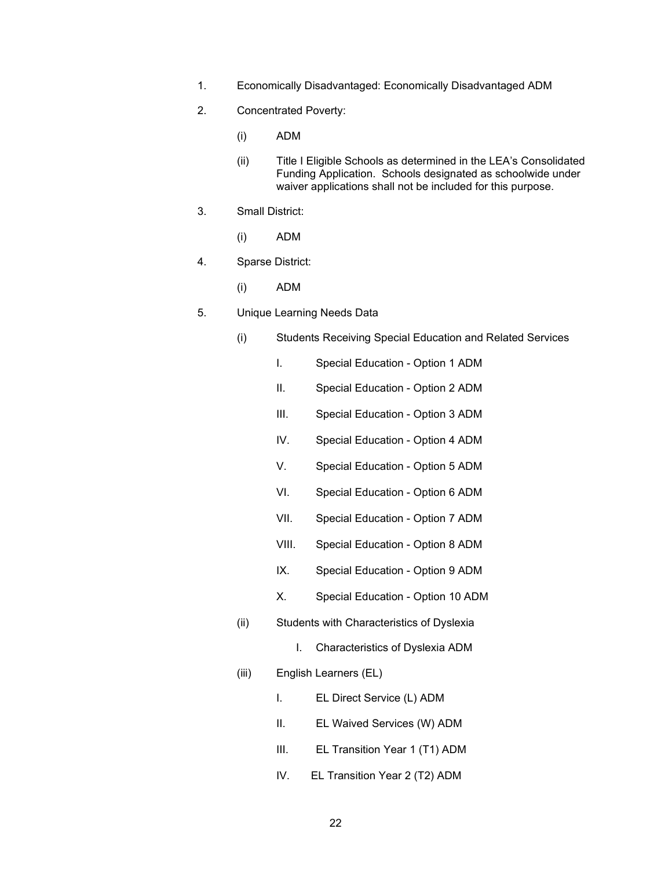- 1. Economically Disadvantaged: Economically Disadvantaged ADM
- 2. Concentrated Poverty:
	- (i) ADM
	- (ii) Title I Eligible Schools as determined in the LEA's Consolidated Funding Application. Schools designated as schoolwide under waiver applications shall not be included for this purpose.
- 3. Small District:
	- (i) ADM
- 4. Sparse District:
	- (i) ADM
- 5. Unique Learning Needs Data
	- (i) Students Receiving Special Education and Related Services
		- I. Special Education Option 1 ADM
		- II. Special Education Option 2 ADM
		- III. Special Education Option 3 ADM
		- IV. Special Education Option 4 ADM
		- V. Special Education Option 5 ADM
		- VI. Special Education Option 6 ADM
		- VII. Special Education Option 7 ADM
		- VIII. Special Education Option 8 ADM
		- IX. Special Education Option 9 ADM
		- X. Special Education Option 10 ADM
	- (ii) Students with Characteristics of Dyslexia
		- I. Characteristics of Dyslexia ADM
	- (iii) English Learners (EL)
		- I. EL Direct Service (L) ADM
		- II. EL Waived Services (W) ADM
		- III. EL Transition Year 1 (T1) ADM
		- IV. EL Transition Year 2 (T2) ADM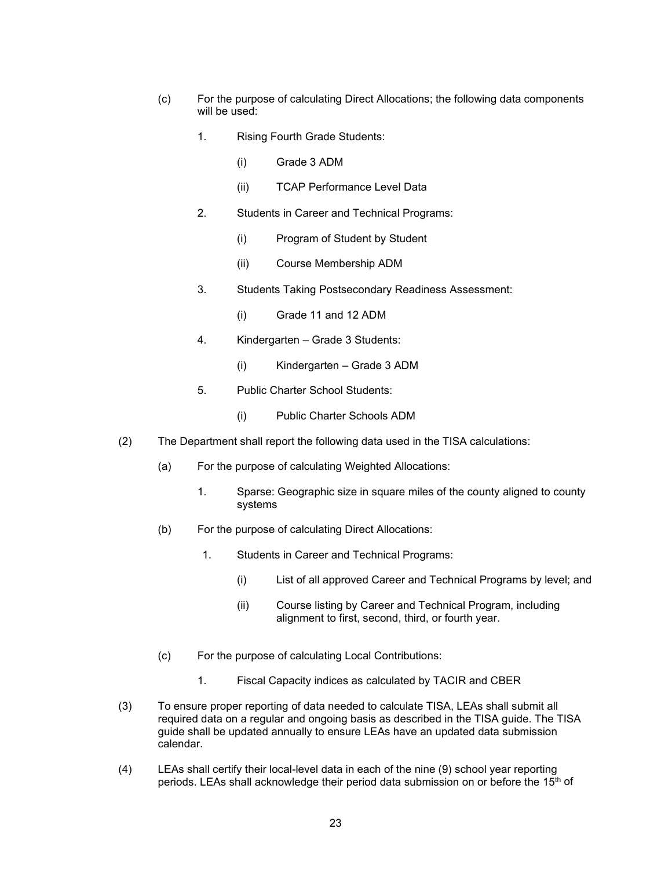- (c) For the purpose of calculating Direct Allocations; the following data components will be used:
	- 1. Rising Fourth Grade Students:
		- (i) Grade 3 ADM
		- (ii) TCAP Performance Level Data
	- 2. Students in Career and Technical Programs:
		- (i) Program of Student by Student
		- (ii) Course Membership ADM
	- 3. Students Taking Postsecondary Readiness Assessment:
		- (i) Grade 11 and 12 ADM
	- 4. Kindergarten Grade 3 Students:
		- (i) Kindergarten Grade 3 ADM
	- 5. Public Charter School Students:
		- (i) Public Charter Schools ADM
- (2) The Department shall report the following data used in the TISA calculations:
	- (a) For the purpose of calculating Weighted Allocations:
		- 1. Sparse: Geographic size in square miles of the county aligned to county systems
	- (b) For the purpose of calculating Direct Allocations:
		- 1. Students in Career and Technical Programs:
			- (i) List of all approved Career and Technical Programs by level; and
			- (ii) Course listing by Career and Technical Program, including alignment to first, second, third, or fourth year.
	- (c) For the purpose of calculating Local Contributions:
		- 1. Fiscal Capacity indices as calculated by TACIR and CBER
- (3) To ensure proper reporting of data needed to calculate TISA, LEAs shall submit all required data on a regular and ongoing basis as described in the TISA guide. The TISA guide shall be updated annually to ensure LEAs have an updated data submission calendar.
- (4) LEAs shall certify their local-level data in each of the nine (9) school year reporting periods. LEAs shall acknowledge their period data submission on or before the 15<sup>th</sup> of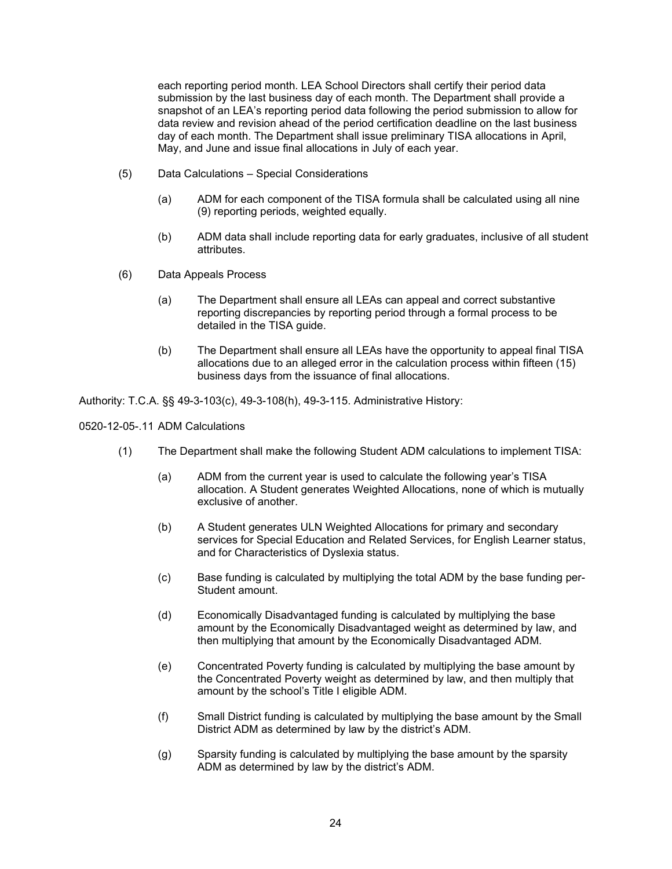each reporting period month. LEA School Directors shall certify their period data submission by the last business day of each month. The Department shall provide a snapshot of an LEA's reporting period data following the period submission to allow for data review and revision ahead of the period certification deadline on the last business day of each month. The Department shall issue preliminary TISA allocations in April, May, and June and issue final allocations in July of each year.

- (5) Data Calculations Special Considerations
	- (a) ADM for each component of the TISA formula shall be calculated using all nine (9) reporting periods, weighted equally.
	- (b) ADM data shall include reporting data for early graduates, inclusive of all student attributes.
- (6) Data Appeals Process
	- (a) The Department shall ensure all LEAs can appeal and correct substantive reporting discrepancies by reporting period through a formal process to be detailed in the TISA guide.
	- (b) The Department shall ensure all LEAs have the opportunity to appeal final TISA allocations due to an alleged error in the calculation process within fifteen (15) business days from the issuance of final allocations.

Authority: T.C.A. §§ 49-3-103(c), 49-3-108(h), 49-3-115. Administrative History:

0520-12-05-.11 ADM Calculations

- (1) The Department shall make the following Student ADM calculations to implement TISA:
	- (a) ADM from the current year is used to calculate the following year's TISA allocation. A Student generates Weighted Allocations, none of which is mutually exclusive of another.
	- (b) A Student generates ULN Weighted Allocations for primary and secondary services for Special Education and Related Services, for English Learner status, and for Characteristics of Dyslexia status.
	- (c) Base funding is calculated by multiplying the total ADM by the base funding per-Student amount.
	- (d) Economically Disadvantaged funding is calculated by multiplying the base amount by the Economically Disadvantaged weight as determined by law, and then multiplying that amount by the Economically Disadvantaged ADM.
	- (e) Concentrated Poverty funding is calculated by multiplying the base amount by the Concentrated Poverty weight as determined by law, and then multiply that amount by the school's Title I eligible ADM.
	- (f) Small District funding is calculated by multiplying the base amount by the Small District ADM as determined by law by the district's ADM.
	- (g) Sparsity funding is calculated by multiplying the base amount by the sparsity ADM as determined by law by the district's ADM.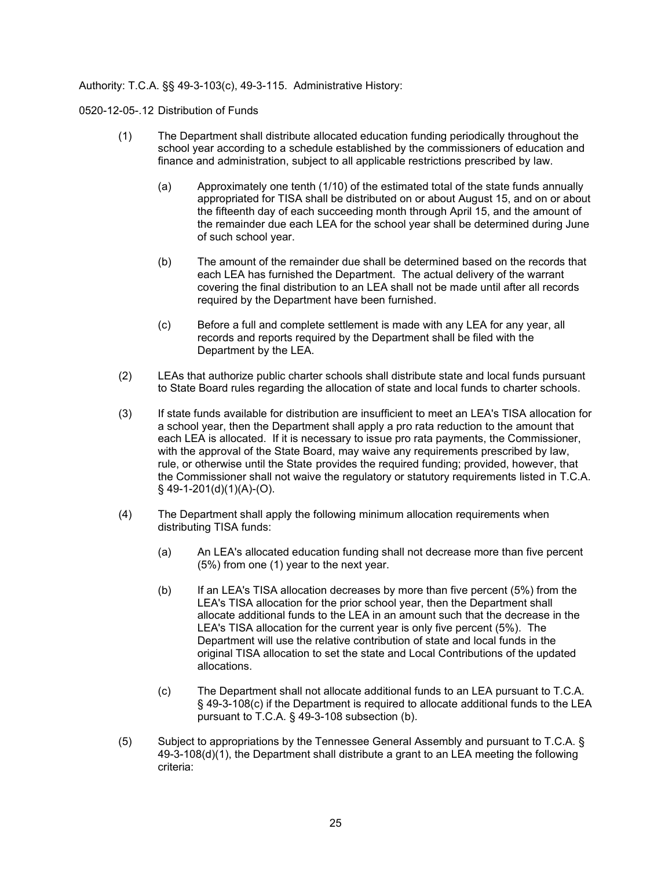# Authority: T.C.A. §§ 49-3-103(c), 49-3-115. Administrative History:

0520-12-05-.12 Distribution of Funds

- (1) The Department shall distribute allocated education funding periodically throughout the school year according to a schedule established by the commissioners of education and finance and administration, subject to all applicable restrictions prescribed by law.
	- (a) Approximately one tenth (1/10) of the estimated total of the state funds annually appropriated for TISA shall be distributed on or about August 15, and on or about the fifteenth day of each succeeding month through April 15, and the amount of the remainder due each LEA for the school year shall be determined during June of such school year.
	- (b) The amount of the remainder due shall be determined based on the records that each LEA has furnished the Department. The actual delivery of the warrant covering the final distribution to an LEA shall not be made until after all records required by the Department have been furnished.
	- (c) Before a full and complete settlement is made with any LEA for any year, all records and reports required by the Department shall be filed with the Department by the LEA.
- (2) LEAs that authorize public charter schools shall distribute state and local funds pursuant to State Board rules regarding the allocation of state and local funds to charter schools.
- (3) If state funds available for distribution are insufficient to meet an LEA's TISA allocation for a school year, then the Department shall apply a pro rata reduction to the amount that each LEA is allocated. If it is necessary to issue pro rata payments, the Commissioner, with the approval of the State Board, may waive any requirements prescribed by law, rule, or otherwise until the State provides the required funding; provided, however, that the Commissioner shall not waive the regulatory or statutory requirements listed in T.C.A.  $§$  49-1-201(d)(1)(A)-(O).
- (4) The Department shall apply the following minimum allocation requirements when distributing TISA funds:
	- (a) An LEA's allocated education funding shall not decrease more than five percent (5%) from one (1) year to the next year.
	- (b) If an LEA's TISA allocation decreases by more than five percent (5%) from the LEA's TISA allocation for the prior school year, then the Department shall allocate additional funds to the LEA in an amount such that the decrease in the LEA's TISA allocation for the current year is only five percent (5%). The Department will use the relative contribution of state and local funds in the original TISA allocation to set the state and Local Contributions of the updated allocations.
	- (c) The Department shall not allocate additional funds to an LEA pursuant to T.C.A. § 49-3-108(c) if the Department is required to allocate additional funds to the LEA pursuant to T.C.A. § 49-3-108 subsection (b).
- (5) Subject to appropriations by the Tennessee General Assembly and pursuant to T.C.A. §  $49-3-108(d)(1)$ , the Department shall distribute a grant to an LEA meeting the following criteria: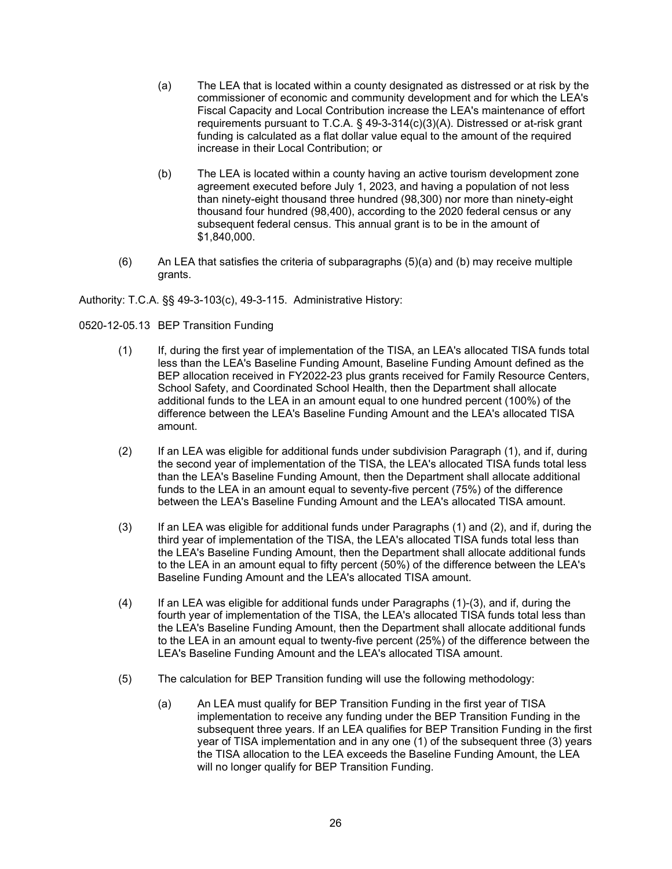- (a) The LEA that is located within a county designated as distressed or at risk by the commissioner of economic and community development and for which the LEA's Fiscal Capacity and Local Contribution increase the LEA's maintenance of effort requirements pursuant to T.C.A. § 49-3-314(c)(3)(A). Distressed or at-risk grant funding is calculated as a flat dollar value equal to the amount of the required increase in their Local Contribution; or
- (b) The LEA is located within a county having an active tourism development zone agreement executed before July 1, 2023, and having a population of not less than ninety-eight thousand three hundred (98,300) nor more than ninety-eight thousand four hundred (98,400), according to the 2020 federal census or any subsequent federal census. This annual grant is to be in the amount of \$1,840,000.
- $(6)$  An LEA that satisfies the criteria of subparagraphs  $(5)(a)$  and  $(b)$  may receive multiple grants.

Authority: T.C.A. §§ 49-3-103(c), 49-3-115. Administrative History:

0520-12-05.13 BEP Transition Funding

- (1) If, during the first year of implementation of the TISA, an LEA's allocated TISA funds total less than the LEA's Baseline Funding Amount, Baseline Funding Amount defined as the BEP allocation received in FY2022-23 plus grants received for Family Resource Centers, School Safety, and Coordinated School Health, then the Department shall allocate additional funds to the LEA in an amount equal to one hundred percent (100%) of the difference between the LEA's Baseline Funding Amount and the LEA's allocated TISA amount.
- (2) If an LEA was eligible for additional funds under subdivision Paragraph (1), and if, during the second year of implementation of the TISA, the LEA's allocated TISA funds total less than the LEA's Baseline Funding Amount, then the Department shall allocate additional funds to the LEA in an amount equal to seventy-five percent (75%) of the difference between the LEA's Baseline Funding Amount and the LEA's allocated TISA amount.
- (3) If an LEA was eligible for additional funds under Paragraphs (1) and (2), and if, during the third year of implementation of the TISA, the LEA's allocated TISA funds total less than the LEA's Baseline Funding Amount, then the Department shall allocate additional funds to the LEA in an amount equal to fifty percent (50%) of the difference between the LEA's Baseline Funding Amount and the LEA's allocated TISA amount.
- (4) If an LEA was eligible for additional funds under Paragraphs (1)-(3), and if, during the fourth year of implementation of the TISA, the LEA's allocated TISA funds total less than the LEA's Baseline Funding Amount, then the Department shall allocate additional funds to the LEA in an amount equal to twenty-five percent (25%) of the difference between the LEA's Baseline Funding Amount and the LEA's allocated TISA amount.
- (5) The calculation for BEP Transition funding will use the following methodology:
	- (a) An LEA must qualify for BEP Transition Funding in the first year of TISA implementation to receive any funding under the BEP Transition Funding in the subsequent three years. If an LEA qualifies for BEP Transition Funding in the first year of TISA implementation and in any one (1) of the subsequent three (3) years the TISA allocation to the LEA exceeds the Baseline Funding Amount, the LEA will no longer qualify for BEP Transition Funding.